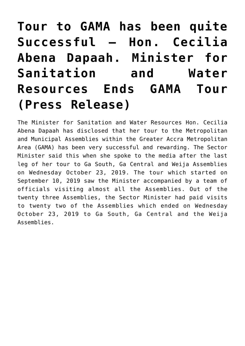# **[Tour to GAMA has been quite](http://mswr.gov.gh/tour-to-gama-has-been-quite-successful-hon-cecilia-abena-dapaah-minister-for-sanitation-and-water-resources-ends-gama-tour-press-release/) [Successful – Hon. Cecilia](http://mswr.gov.gh/tour-to-gama-has-been-quite-successful-hon-cecilia-abena-dapaah-minister-for-sanitation-and-water-resources-ends-gama-tour-press-release/) [Abena Dapaah. Minister for](http://mswr.gov.gh/tour-to-gama-has-been-quite-successful-hon-cecilia-abena-dapaah-minister-for-sanitation-and-water-resources-ends-gama-tour-press-release/) [Sanitation and Water](http://mswr.gov.gh/tour-to-gama-has-been-quite-successful-hon-cecilia-abena-dapaah-minister-for-sanitation-and-water-resources-ends-gama-tour-press-release/) [Resources Ends GAMA Tour](http://mswr.gov.gh/tour-to-gama-has-been-quite-successful-hon-cecilia-abena-dapaah-minister-for-sanitation-and-water-resources-ends-gama-tour-press-release/) [\(Press Release\)](http://mswr.gov.gh/tour-to-gama-has-been-quite-successful-hon-cecilia-abena-dapaah-minister-for-sanitation-and-water-resources-ends-gama-tour-press-release/)**

The Minister for Sanitation and Water Resources Hon. Cecilia Abena Dapaah has disclosed that her tour to the Metropolitan and Municipal Assemblies within the Greater Accra Metropolitan Area (GAMA) has been very successful and rewarding. The Sector Minister said this when she spoke to the media after the last leg of her tour to Ga South, Ga Central and Weija Assemblies on Wednesday October 23, 2019. The tour which started on September 10, 2019 saw the Minister accompanied by a team of officials visiting almost all the Assemblies. Out of the twenty three Assemblies, the Sector Minister had paid visits to twenty two of the Assemblies which ended on Wednesday October 23, 2019 to Ga South, Ga Central and the Weija Assemblies.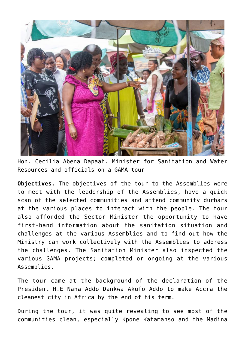

Hon. Cecilia Abena Dapaah. Minister for Sanitation and Water Resources and officials on a GAMA tour

**Objectives.** The objectives of the tour to the Assemblies were to meet with the leadership of the Assemblies, have a quick scan of the selected communities and attend community durbars at the various places to interact with the people. The tour also afforded the Sector Minister the opportunity to have first-hand information about the sanitation situation and challenges at the various Assemblies and to find out how the Ministry can work collectively with the Assemblies to address the challenges. The Sanitation Minister also inspected the various GAMA projects; completed or ongoing at the various Assemblies.

The tour came at the background of the declaration of the President H.E Nana Addo Dankwa Akufo Addo to make Accra the cleanest city in Africa by the end of his term.

During the tour, it was quite revealing to see most of the communities clean, especially Kpone Katamanso and the Madina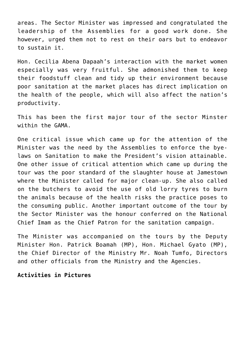areas. The Sector Minister was impressed and congratulated the leadership of the Assemblies for a good work done. She however, urged them not to rest on their oars but to endeavor to sustain it.

Hon. Cecilia Abena Dapaah's interaction with the market women especially was very fruitful. She admonished them to keep their foodstuff clean and tidy up their environment because poor sanitation at the market places has direct implication on the health of the people, which will also affect the nation's productivity.

This has been the first major tour of the sector Minster within the GAMA.

One critical issue which came up for the attention of the Minister was the need by the Assemblies to enforce the byelaws on Sanitation to make the President's vision attainable. One other issue of critical attention which came up during the tour was the poor standard of the slaughter house at Jamestown where the Minister called for major clean-up. She also called on the butchers to avoid the use of old lorry tyres to burn the animals because of the health risks the practice poses to the consuming public. Another important outcome of the tour by the Sector Minister was the honour conferred on the National Chief Imam as the Chief Patron for the sanitation campaign.

The Minister was accompanied on the tours by the Deputy Minister Hon. Patrick Boamah (MP), Hon. Michael Gyato (MP), the Chief Director of the Ministry Mr. Noah Tumfo, Directors and other officials from the Ministry and the Agencies.

#### **Activities in Pictures**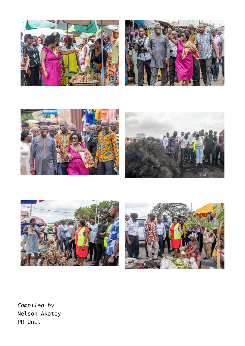











*Compiled by* Nelson Akatey PR Unit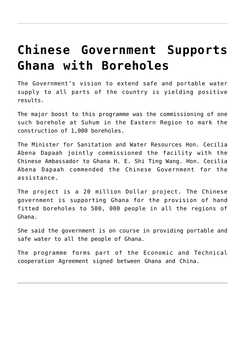#### **[Chinese Government Supports](http://mswr.gov.gh/chinese-government-supports-ghana-with-boreholes-3/) [Ghana with Boreholes](http://mswr.gov.gh/chinese-government-supports-ghana-with-boreholes-3/)**

The Government's vision to extend safe and portable water supply to all parts of the country is yielding positive results.

The major boost to this programme was the commissioning of one such borehole at Suhum in the Eastern Region to mark the construction of 1,000 boreholes.

The Minister for Sanitation and Water Resources Hon. Cecilia Abena Dapaah jointly commissioned the facility with the Chinese Ambassador to Ghana H. E. Shi Ting Wang. Hon. Cecilia Abena Dapaah commended the Chinese Government for the assistance.

The project is a 20 million Dollar project. The Chinese government is supporting Ghana for the provision of hand fitted boreholes to 500, 000 people in all the regions of Ghana.

She said the government is on course in providing portable and safe water to all the people of Ghana.

The programme forms part of the Economic and Technical cooperation Agreement signed between Ghana and China.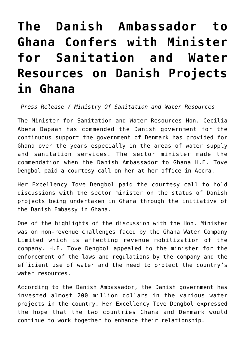# **[The Danish Ambassador to](http://mswr.gov.gh/the-danish-ambassador-to-ghana-confers-with-minister-for-sanitation-and-water-resources-on-danish-projects-in-ghana/) [Ghana Confers with Minister](http://mswr.gov.gh/the-danish-ambassador-to-ghana-confers-with-minister-for-sanitation-and-water-resources-on-danish-projects-in-ghana/) [for Sanitation and Water](http://mswr.gov.gh/the-danish-ambassador-to-ghana-confers-with-minister-for-sanitation-and-water-resources-on-danish-projects-in-ghana/) [Resources on Danish Projects](http://mswr.gov.gh/the-danish-ambassador-to-ghana-confers-with-minister-for-sanitation-and-water-resources-on-danish-projects-in-ghana/) [in Ghana](http://mswr.gov.gh/the-danish-ambassador-to-ghana-confers-with-minister-for-sanitation-and-water-resources-on-danish-projects-in-ghana/)**

 *Press Release / Ministry Of Sanitation and Water Resources*

The Minister for Sanitation and Water Resources Hon. Cecilia Abena Dapaah has commended the Danish government for the continuous support the government of Denmark has provided for Ghana over the years especially in the areas of water supply and sanitation services. The sector minister made the commendation when the Danish Ambassador to Ghana H.E. Tove Dengbol paid a courtesy call on her at her office in Accra.

Her Excellency Tove Dengbol paid the courtesy call to hold discussions with the sector minister on the status of Danish projects being undertaken in Ghana through the initiative of the Danish Embassy in Ghana.

One of the highlights of the discussion with the Hon. Minister was on non-revenue challenges faced by the Ghana Water Company Limited which is affecting revenue mobilization of the company. H.E. Tove Dengbol appealed to the minister for the enforcement of the laws and regulations by the company and the efficient use of water and the need to protect the country's water resources.

According to the Danish Ambassador, the Danish government has invested almost 200 million dollars in the various water projects in the country. Her Excellency Tove Dengbol expressed the hope that the two countries Ghana and Denmark would continue to work together to enhance their relationship.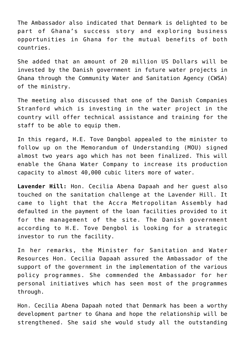The Ambassador also indicated that Denmark is delighted to be part of Ghana's success story and exploring business opportunities in Ghana for the mutual benefits of both countries.

She added that an amount of 20 million US Dollars will be invested by the Danish government in future water projects in Ghana through the Community Water and Sanitation Agency (CWSA) of the ministry.

The meeting also discussed that one of the Danish Companies Stranford which is investing in the water project in the country will offer technical assistance and training for the staff to be able to equip them.

In this regard, H.E. Tove Dangbol appealed to the minister to follow up on the Memorandum of Understanding (MOU) signed almost two years ago which has not been finalized. This will enable the Ghana Water Company to increase its production capacity to almost 40,000 cubic liters more of water.

**Lavender Hill:** Hon. Cecilia Abena Dapaah and her guest also touched on the sanitation challenge at the Lavender Hill. It came to light that the Accra Metropolitan Assembly had defaulted in the payment of the loan facilities provided to it for the management of the site. The Danish government according to H.E. Tove Dengbol is looking for a strategic investor to run the facility.

In her remarks, the Minister for Sanitation and Water Resources Hon. Cecilia Dapaah assured the Ambassador of the support of the government in the implementation of the various policy programmes. She commended the Ambassador for her personal initiatives which has seen most of the programmes through.

Hon. Cecilia Abena Dapaah noted that Denmark has been a worthy development partner to Ghana and hope the relationship will be strengthened. She said she would study all the outstanding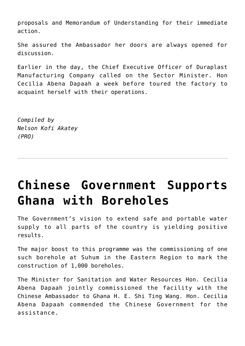proposals and Memorandum of Understanding for their immediate action.

She assured the Ambassador her doors are always opened for discussion.

Earlier in the day, the Chief Executive Officer of Duraplast Manufacturing Company called on the Sector Minister. Hon Cecilia Abena Dapaah a week before toured the factory to acquaint herself with their operations.

*Compiled by Nelson Kofi Akatey (PRO)*

# **[Chinese Government Supports](http://mswr.gov.gh/chinese-government-supports-ghana-with-boreholes-2/) [Ghana with Boreholes](http://mswr.gov.gh/chinese-government-supports-ghana-with-boreholes-2/)**

The Government's vision to extend safe and portable water supply to all parts of the country is yielding positive results.

The major boost to this programme was the commissioning of one such borehole at Suhum in the Eastern Region to mark the construction of 1,000 boreholes.

The Minister for Sanitation and Water Resources Hon. Cecilia Abena Dapaah jointly commissioned the facility with the Chinese Ambassador to Ghana H. E. Shi Ting Wang. Hon. Cecilia Abena Dapaah commended the Chinese Government for the assistance.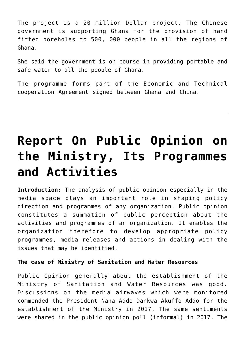The project is a 20 million Dollar project. The Chinese government is supporting Ghana for the provision of hand fitted boreholes to 500, 000 people in all the regions of Ghana.

She said the government is on course in providing portable and safe water to all the people of Ghana.

The programme forms part of the Economic and Technical cooperation Agreement signed between Ghana and China.

### **[Report On Public Opinion on](http://mswr.gov.gh/report-on-public-opinion-on-the-ministry-its-programmes-and-activities/) [the Ministry, Its Programmes](http://mswr.gov.gh/report-on-public-opinion-on-the-ministry-its-programmes-and-activities/) [and Activities](http://mswr.gov.gh/report-on-public-opinion-on-the-ministry-its-programmes-and-activities/)**

**Introduction:** The analysis of public opinion especially in the media space plays an important role in shaping policy direction and programmes of any organization. Public opinion constitutes a summation of public perception about the activities and programmes of an organization. It enables the organization therefore to develop appropriate policy programmes, media releases and actions in dealing with the issues that may be identified.

#### **The case of Ministry of Sanitation and Water Resources**

Public Opinion generally about the establishment of the Ministry of Sanitation and Water Resources was good. Discussions on the media airwaves which were monitored commended the President Nana Addo Dankwa Akuffo Addo for the establishment of the Ministry in 2017. The same sentiments were shared in the public opinion poll (informal) in 2017. The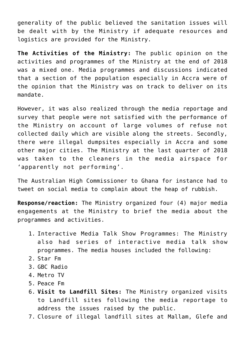generality of the public believed the sanitation issues will be dealt with by the Ministry if adequate resources and logistics are provided for the Ministry.

**The Activities of the Ministry:** The public opinion on the activities and programmes of the Ministry at the end of 2018 was a mixed one. Media programmes and discussions indicated that a section of the population especially in Accra were of the opinion that the Ministry was on track to deliver on its mandate.

However, it was also realized through the media reportage and survey that people were not satisfied with the performance of the Ministry on account of large volumes of refuse not collected daily which are visible along the streets. Secondly, there were illegal dumpsites especially in Accra and some other major cities. The Ministry at the last quarter of 2018 was taken to the cleaners in the media airspace for 'apparently not performing'.

The Australian High Commissioner to Ghana for instance had to tweet on social media to complain about the heap of rubbish.

**Response/reaction:** The Ministry organized four (4) major media engagements at the Ministry to brief the media about the programmes and activities.

- 1. Interactive Media Talk Show Programmes: The Ministry also had series of interactive media talk show programmes. The media houses included the following:
- 2. Star Fm
- 3. GBC Radio
- 4. Metro TV
- 5. Peace Fm
- 6. **Visit to Landfill Sites:** The Ministry organized visits to Landfill sites following the media reportage to address the issues raised by the public.
- 7. Closure of illegal landfill sites at Mallam, Glefe and